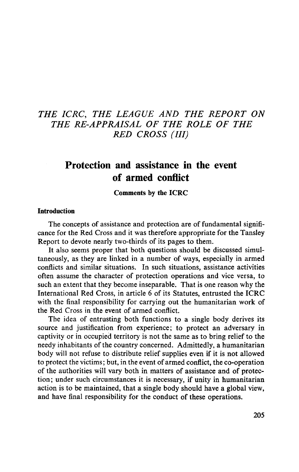# THE ICRC, THE LEAGUE AND THE REPORT ON THE RE-APPRAISAL OF THE ROLE OF THE RED CROSS (III)

# Protection and assistance in the event of armed conflict

**Comments by the ICRC**

#### **Introduction**

The concepts of assistance and protection are of fundamental significance for the Red Cross and it was therefore appropriate for the Tansley Report to devote nearly two-thirds of its pages to them.

It also seems proper that both questions should be discussed simultaneously, as they are linked in a number of ways, especially in armed conflicts and similar situations. In such situations, assistance activities often assume the character of protection operations and vice versa, to such an extent that they become inseparable. That is one reason why the International Red Cross, in article 6 of its Statutes, entrusted the ICRC with the final responsibility for carrying out the humanitarian work of the Red Cross in the event of armed conflict.

The idea of entrusting both functions to a single body derives its source and justification from experience; to protect an adversary in captivity or in occupied territory is not the same as to bring relief to the needy inhabitants of the country concerned. Admittedly, a humanitarian body will not refuse to distribute relief supplies even if it is not allowed to protect the victims; but, in the event of armed conflict, the co-operation of the authorities will vary both in matters of assistance and of protection; under such circumstances it is necessary, if unity in humanitarian action is to be maintained, that a single body should have a global view, and have final responsibility for the conduct of these operations.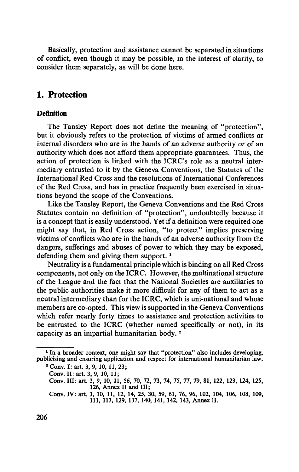Basically, protection and assistance cannot be separated in situations of conflict, even though it may be possible, in the interest of clarity, to consider them separately, as will be done here.

## **1. Protection**

### **Definition**

The Tansley Report does not define the meaning of "protection", but it obviously refers to the protection of victims of armed conflicts or internal disorders who are in the hands of an adverse authority or of an authority which does not afford them appropriate guarantees. Thus, the action of protection is linked with the ICRC's role as a neutral intermediary entrusted to it by the Geneva Conventions, the Statutes of the International Red Cross and the resolutions of International Conferences of the Red Cross, and has in practice frequently been exercised in situations beyond the scope of the Conventions.

Like the Tansley Report, the Geneva Conventions and the Red Cross Statutes contain no definition of "protection", undoubtedly because it is a concept that is easily understood. Yet if a definition were required one might say that, in Red Cross action, "to protect" implies preserving victims of conflicts who are in the hands of an adverse authority from the dangers, sufferings and abuses of power to which they may be exposed, defending them and giving them support.<sup>1</sup>

Neutrality is a fundamental principle which is binding on all Red Cross components, not only on the ICRC. However, the multinational structure of the League and the fact that the National Societies are auxiliaries to the public authorities make it more difficult for any of them to act as a neutral intermediary than for the ICRC, which is uni-national and whose members are co-opted. This view is supported in the Geneva Conventions which refer nearly forty times to assistance and protection activities to be entrusted to the ICRC (whether named specifically or not), in its capacity as an impartial humanitarian body.<sup>2</sup>

<sup>&</sup>lt;sup>1</sup> In a broader context, one might say that "protection" also includes developing, publicising and ensuring application and respect for international humanitarian law.

<sup>\*</sup>Conv. I: art. 3, 9, 10,11,23;

Conv. II: art. 3, 9, 10, 11;

Conv. Ill: art. 3, 9, 10, 11, 56, 70, 72, 73, 74, 75, 77, 79, 81, 122, 123, 124, 125, 126, Annex II and III;

Conv. IV: art. 3, 10, 11, 12, 14, 25, 30, 59, 61, 76, 96, 102, 104, 106, 108, 109, 111, 113, 129, 137, 140, 141, 142, 143, Annex II.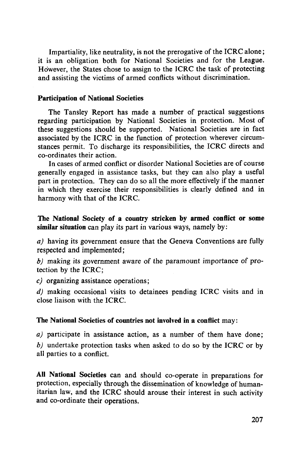Impartiality, like neutrality, is not the prerogative of the ICRC alone; it is an obligation both for National Societies and for the League. However, the States chose to assign to the ICRC the task of protecting and assisting the victims of armed conflicts without discrimination.

### **Participation of National Societies**

The Tansley Report has made a number of practical suggestions regarding participation by National Societies in protection. Most of these suggestions should be supported. National Societies are in fact associated by the ICRC in the function of protection wherever circumstances permit. To discharge its responsibilities, the ICRC directs and co-ordinates their action.

In cases of armed conflict or disorder National Societies are of course generally engaged in assistance tasks, but they can also play a useful part in protection. They can do so all the more effectively if the manner in which they exercise their responsibilities is clearly defined and in harmony with that of the ICRC.

**The National Society of a country stricken by armed conflict or some similar situation** can play its part in various ways, namely by:

*a)* having its government ensure that the Geneva Conventions are fully respected and implemented;

*b)* making its government aware of the paramount importance of protection by the ICRC;

*c)* organizing assistance operations;

*d)* making occasional visits to detainees pending ICRC visits and in close liaison with the ICRC.

### **The National Societies of countries not involved in a conflict** may:

*a)* participate in assistance action, as a number of them have done; *b)* undertake protection tasks when asked to do so by the ICRC or by all parties to a conflict.

**All National Societies** can and should co-operate in preparations for protection, especially through the dissemination of knowledge of humanitarian law, and the ICRC should arouse their interest in such activity and co-ordinate their operations.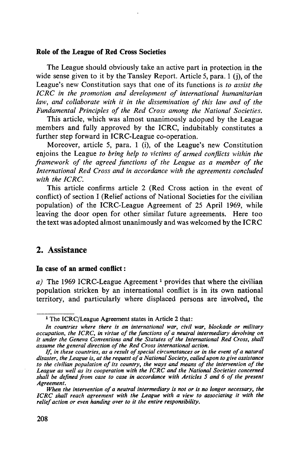#### **Role of the League of Red Cross Societies**

The League should obviously take an active part in protection in the wide sense given to it by the Tansley Report. Article 5, para. 1 (i), of the League's new Constitution says that one of its functions is *to assist the ICRC in the promotion and development of international humanitarian law, and collaborate with it in the dissemination of this law and of the Fundamental Principles of the Red Cross among the National Societies.*

This article, which was almost unanimously adopted by the League members and fully approved by the ICRC, indubitably constitutes a further step forward in ICRC-League co-operation.

Moreover, article 5, para. 1 (i), of the League's new Constitution enjoins the League *to bring help to victims of armed conflicts within the framework of the agreed functions of the League as a member of the International Red Cross and in accordance with the agreements concluded with the ICRC.*

This article confirms article 2 (Red Cross action in the event of conflict) of section I (Relief actions of National Societies for the civilian population) of the ICRC-League Agreement of 25 April 1969, while leaving the door open for other similar future agreements. Here too the text was adopted almost unanimously and was welcomed by the ICRC

## 2. Assistance

#### **In case of an armed conflict**:

a) The 1969 ICRC-League Agreement<sup>1</sup> provides that where the civilian population stricken by an international conflict is in its own national territory, and particularly where displaced persons are involved, the

<sup>&</sup>lt;sup>1</sup> The ICRC/League Agreement states in Article 2 that:

*In countries where there is an international war, civil war, blockade or military* occupation, the ICRC, in virtue of the functions of a neutral intermediary devolving on<br>it under the Geneva Conventions and the Statutes of the International Red Cross, shall<br>assume the general direction of the Red Cross i

*If, in these countries, as a result of special circumstances or in the event of a natural disaster, the League is, at the request of a National Society, called upon to give assistance to the civilian population of its country, the ways and means of the intervention of the League as well as its cooperation with the ICRC and the National Societies concerned shall be defined from case to case in accordance with Articles 5 and 6 of the present Agreement.*

*When the intervention of a neutral intermediary is not or is no longer necessary, the ICRC shall reach agreement with the League with a view to associating it with the relief action or even handing over to it the entire responsibility.*